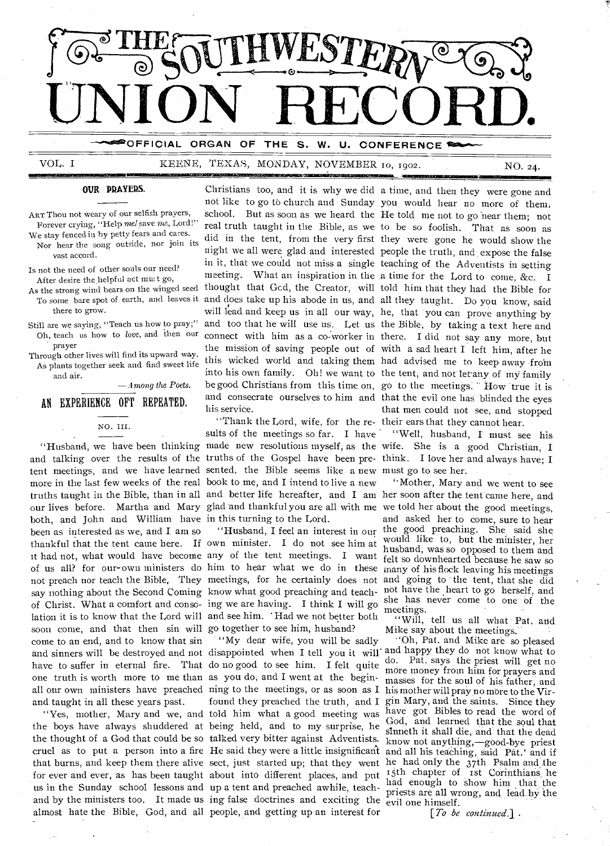

POFFICIAL **ORGAN** OF **THE** S. W. **CONFERENCE R**  $\mathbf{U}$ .

VOL. I

KEENE, TEXAS, MONDAY, NOVEMBER 10, 1902.

NO. 24.

#### **OUR PRAYERS**

ART Thou not weary of our selfish prayers, Forever crying, "Help me! save me, Lord!" We stay fenced in by petty fears and cares.

Nor hear the song outside, nor join its vast accord.

Is not the need of other souls our need? After desire the helpful act must go,

As the strong wind bears on the winged seed To some bare spot of earth, and leaves it there to grow.

Still are we saying, "Teach us how to pray;" Oh, teach us how to love, and then our prayer

Through other lives will find its upward way, As plants together seek and find sweet life and air.

 $-$  Among the Poets.

#### AN EXPERIENCE OFT REPEATED.

NO. III. and talking over the results of the truths of the Gospel have been pre- think. I love her and always have; I tent meetings, and we have learned sented, the Bible seems like a new must go to see her. more in the last few weeks of the real book to me, and I intend to live a new truths taught in the Bible, than in all and better life hereafter, and I am her soon after the tent came here, and our lives before. Martha and Mary glad and thankful you are all with me we told her about the good meetings, both, and John and William have in this turning to the Lord. been as interested as we, and I am so "Husband, I feel an interest in our thankful that the tent came here. If own minister. I do not see him at It had not, what would have become any of the tent meetings. I want felt so downhearted because he saw so of us all? for our-own ministers do him to hear what we do in these many of his flock leaving his meetings not preach nor teach the Bible. They meetings, for he certainly does not and going to the tent, that she did say nothing about the Second Coming know what good preaching and teachof Christ. What a comfort and conso- ing we are having. I think I will go lation it is to know that the Lord will and see him. 'Had we not better both soon come, and that then sin will go together to see him, husband? come to an end, and to know that sin and sinners will be destroyed and not disappointed when I tell you it will and happy they do not know what to have to suffer in eternal fire. That do no good to see him. I felt quite one truth is worth more to me than as you do, and I went at the beginand taught in all these years past.

the boys have always shuddered at being held, and to my surprise, he the thought of a God that could be so talked very bitter against Adventists. know not anything,—good-bye priest cruel as to put a person into a fire He said they were a little insignificant and all his teaching, said Pat. and if that burns, and keep them there alive sect, just started up; that they went he had only the 37th Psalm and the<br>for ever and ever, as has been taught about into different places, and put <sup>15th</sup> chapter of 1st Corinthians he us in the Sunday school lessons and up a tent and preached awhile, teachand by the ministers too. It made us ing false doctrines and exciting the evil one himself. almost hate the Bible, God, and all people, and getting up an interest for

his service.

"Thank the Lord, wife, for the re- their ears that they cannot hear. sults of the meetings so far. I have "Well, husband, I must see his

"My dear wife, you will be sadly all our own ministers have preached ning to the meetings, or as soon as I his mother will pray no more to the Virfound they preached the truth, and I gin Mary, and the saints. Since they "Yes, mother, Mary and we, and told him what a good meeting was have got Bibles to read the word of

Christians too, and it is why we did a time, and then they were gone and not like to go to church and Sunday you would hear no more of them. school. But as soon as we heard the He told me not to go near them; not real truth taught in the Bible, as we to be so foolish. That as soon as did in the tent, from the very first they were gone he would show the night we all were glad and interested people the truth, and expose the false in it, that we could not miss a single teaching of the Adventists in setting meeting. What an inspiration in the a time for the Lord to come, &c. I thought that Gcd, the Creator, will told him that they had the Bible for and does take up his abode in us, and all they taught. Do you know, said will lead and keep us in all our way, he, that you can prove anything by and too that he will use us. Let us the Bible, by taking a text here and connect with him as a co-worker in there. I did not say any more, but the mission of saving people out of with a sad heart I left him, after he this wicked world and taking them had advised me to keep away from into his own family. Oh! we want to the tent, and not let any of my family be good Christians from this time on, go to the meetings. How true it is and consecrate ourselves to him and that the evil one has blinded the eyes that men could not see, and stopped

"Husband, we have been thinking made new resolutions myself, as the wife. She is a good Christian, I

"Mother, Mary and we went to see and asked her to come, sure to hear the good preaching. She said she would like to, but the minister, her husband, was so opposed to them and not have the heart to go herself, and she has never come to one of the meetings.

"Will, tell us all what Pat. and Mike say about the meetings.

"Oh, Pat. and Mike are so pleased do. Pat. says the priest will get no more money from him for prayers and masses for the soul of his father, and sinneth it shall die, and that the dead priests are all wrong, and lead by the

 $[To be continued.]$ .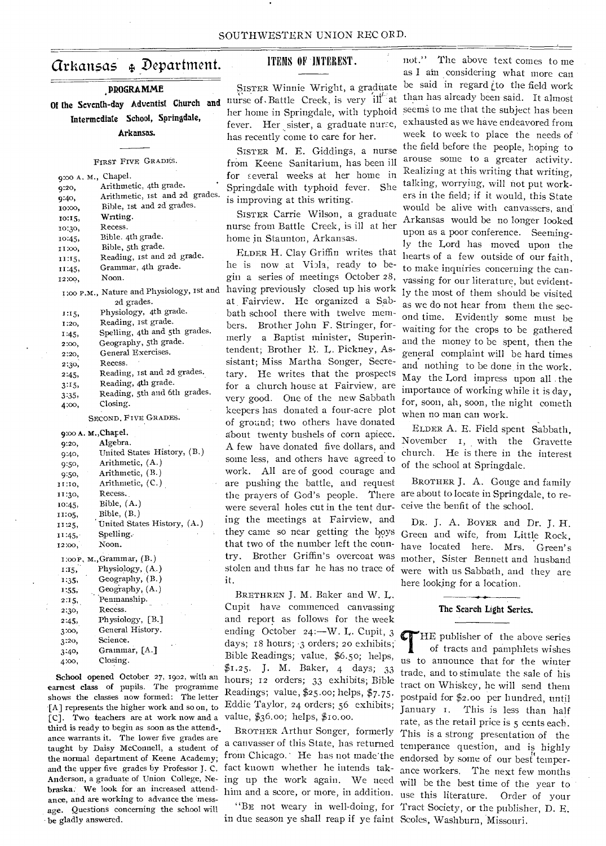## arhansas q, Department.

#### **,PROGRAMME**

**Of the Seventh-day Adventist Church and Intermediate School, Springdale,** 

#### **Arkansas.**

#### FIRST FIVE GRADES.

| 9:00 A. M., Chapel. |                                           |
|---------------------|-------------------------------------------|
| 9.20,               | Arithmetic, 4th grade.                    |
| 9:40,               | Arithmetic, 1st and 2d grades.            |
| 10:00,              | Bible, 1st and 2d grades.                 |
| 10:15,              | Writing.                                  |
| 10:30,              | Recess.                                   |
| 10:45,              | Bible. 4th grade.                         |
| 11:00,              | Bible, 5th grade.                         |
| 11:15,              | Reading, ist and 2d grade.                |
| 11:45,              | Grammar, 4th grade.                       |
| 12:00,              | Noon.                                     |
|                     | 1:00 P.M., Nature and Physiology, 1st and |
|                     | 2d grades.                                |
| 1:15,               | Physiology, 4th grade.                    |
| 1:20,               | Reading, 1st grade.                       |
| 1:45,               | Spelling, 4th and 5th grades.             |
| 2:00.               | Geography, 5th grade.                     |
| 2:20,               | General Exercises.                        |
| 2:30,               | Recess.                                   |
| 2:45,               | Reading, 1st and 2d grades.               |
| 3:15,               | Reading, 4th grade.                       |
| 3:35,               | Reading, 5th and 6th grades.              |
| 4:00,               | Closing.                                  |
|                     | SECOND, FIVE GRADES.                      |
|                     | $22.5 - 12.5$                             |

|        | 9:00 A. M., Chapel.         |  |  |  |  |  |  |  |  |  |
|--------|-----------------------------|--|--|--|--|--|--|--|--|--|
| 9:20,  | Algebra.                    |  |  |  |  |  |  |  |  |  |
| 9:40,  | United States History, (B.) |  |  |  |  |  |  |  |  |  |
| 9:50,  | Arithmetic, (A.)            |  |  |  |  |  |  |  |  |  |
| 9:50,  | Arithmetic, (B.)            |  |  |  |  |  |  |  |  |  |
| 11:10, | Arithmetic, (C.)            |  |  |  |  |  |  |  |  |  |
| 11:30, | Recess.                     |  |  |  |  |  |  |  |  |  |
| 10:45, | Bible, $(A.)$               |  |  |  |  |  |  |  |  |  |
| 11:05, | Bible, (B.)                 |  |  |  |  |  |  |  |  |  |
| 11:25, | United States History, (A.) |  |  |  |  |  |  |  |  |  |
| 11:45, | Spelling.                   |  |  |  |  |  |  |  |  |  |
| 12,00, | Noon.                       |  |  |  |  |  |  |  |  |  |
|        | 1:ooP, M.,Grammar, (B.)     |  |  |  |  |  |  |  |  |  |
| 1:15,  | Physiology, (A.)            |  |  |  |  |  |  |  |  |  |
| 1:35,  | Geography, (B.)             |  |  |  |  |  |  |  |  |  |
| 1:55,  | Geography, (A.)             |  |  |  |  |  |  |  |  |  |
| 2:15,  | Penmanship.                 |  |  |  |  |  |  |  |  |  |
| 2:30,  | Recess.                     |  |  |  |  |  |  |  |  |  |
| 2:45,  | Physiology, [B.]            |  |  |  |  |  |  |  |  |  |
| 3:00,  | General History.            |  |  |  |  |  |  |  |  |  |
| 3:20,  | Science.                    |  |  |  |  |  |  |  |  |  |
| 3:40,  | Grammar, [A.]               |  |  |  |  |  |  |  |  |  |

[C]. Two teachers are at work now and a value,  $$36.00$ ; helps,  $$10.00$ . School opened October 27, 1902, with an earnest class of pupils. The programme shows the classes now formed: The letter [A] represents the higher work and so on, to third is ready to begin as soon as the attend-. ance warrants it. The lower five grades are taught by Daisy McConnell, a student of the normal department of Keene Academy; and the upper five grades by Professor J. C. Anderson, a graduate of Union College, Nebraska. We look for an increased attendance, and are working to advance the message. Questions concerning the school will be gladly answered.

4 :00 , Closing.

## ITEMS OF INTEREST.

SISTER Winnie Wright, a graduate nurse of Battle Creek, is very ill at her home in Springdale, with typhoid fever. Her sister, a graduate nurse, has recently come to care for her.

SISTER M. E. Giddings, a nurse from Keene Sanitarium, has been ill for several weeks at her home in Springdale with typhoid fever. She is improving at this writing.

home in Staunton, Arkansas. SISTER Carrie Wilson, a graduate nurse from Battle Creek, is ill at her

ELDER H. Clay Griffin writes that he is now at ViDla, ready to begin a series of meetings October 28, having previously closed up his work at Fairview. He organized a Sabbath school there with twelve members. Brother John F. Stringer, formerly a Baptist minister, Superintendent; Brother E. L. Pickney, Assistant; Miss Martha Songer, Secretary. He writes that the prospects for a church house at Fairview, are very good. One of the new Sabbath keepers has donated a four-acre plot of ground; two others have donated about twenty bushels of corn apiece. A few have donated five dollars, and some less, and others have agreed to work. All are of good courage and are pushing the battle, and request the prayers of God's people. There are about to locate in Springdale, to rewere several holes cut in the tent during the meetings at Fairview, and they came so near getting the boys that two of the number left the country. Brother Griffin's overcoat was it.

BRETHREN **J.** M. Baker and W. L. Cupit have commenced canvassing and report as follows for the week ending October  $24: -W$ . L. Cupit, 3 days; 18 hours; 3 orders; 20 exhibits; Bible Readings; value, \$6.50; helps, \$1.25. J. M. Baker, 4 days; 33 hours; 12 orders; 33 exhibits; Bible Readings; value, \$25.00; helps, \$7.75. Eddie Taylor, 24 orders; 56 exhibits;

from Chicago. He has not made the endorsed by some of our best temper-

in due season ye shall reap if ye faint Scoles, Washburn, Missouri.

not." The above text comes to me as I ain considering what more can be said in regard  $i$  to the field work than has already been. said. It almost seems to me that the subject has been exhausted as we have endeavored from week to week to place the needs of the field before the people, hoping to arouse some to a greater activity. Realizing at this writing that writing, talking, worrying, will not put workers in the field; if it would, this State would be alive with canvassers, and Arkansas would be no longer looked upon as a poor conference. Seemingly the Lord has moved upon the hearts of a few outside of our faith, to make inquiries concerning the canvassing for our literature, but evidently the most of them should be visited as we do not hear from them the second time. Evidently some must be waiting for the crops to be gathered and the money to be spent, then the general complaint will be hard times and nothing to be done in the work. May the Lord impress upon all the importance of working while it is day, for, soon, ah, soon, the night cometh when no man can work.

ELDER A. E. Field spent Sabbath, November 1, with the Gravette church. He is there in the interest of the school at Springdale.

BROTHER J. A. Gouge and family ceive the benfit of the school.

stolen and thus far he has no trace of were with us Sabbath, and they are DR. J. A. BOYER and Dr. J. H. Green and wife, from Little Rock, have located here. Mrs. Green's mother, Sister Bennett and husband here looking for a location.

#### The Search Light **Series.**

BROTHER Arthur Songer, formerly This is a strong presentation of the a canvasser of this State, has returned temperance question, and is highly fact known whether he intends tak- ance workers. The next few months ing up the work again. We need will be the best time of the year to him and a score, or more, in addition. use this literature. Order of your "BE not weary in well-doing, for Tract Society, or the publisher, D. E. THE publisher of the above series<br>of tracts and pamphlets wishes<br>us to announce that for the winter HE publisher of the above series of tracts and pamphlets wishes trade, and to stimulate the sale of his tract on Whiskey, he will send them postpaid for \$2.00 per hundred, until January 1. This is less than half rate, as the retail price is 5 cents each.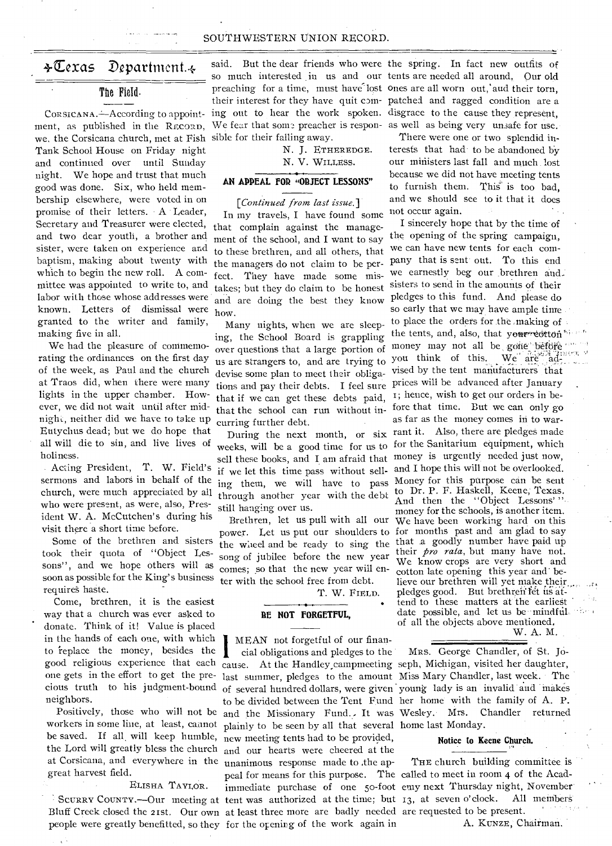#### SOUTHWESTERN UNION RECORD.

## $\ast \mathbb{C}$ exas Department. $\ast$

## The Field.

ment, as published in the RECORD, We fear that some preacher is respon- as well as being very unsafe for use. we, the Corsicana church, met at Fish sible for their falling away. Tank School House on Friday night and continued over until Sunday night. We hope and trust that much good was done. Six, who held membership elsewhere, were voted in on promise of their letters. A Leader, Secretary and Treasurer were elected, and two dear youth, a brother and sister, were taken on experience and baptism, making about twenty with which to begin the new roll. A committee was appointed to write to, and labor with those whose addresses were known. Letters of dismissal were granted to the writer and family, making five in all.

We had the pleasure of commemorating the ordinances on the first day of the week, as Paul and the church at Traos did, when there were many lights in the upper chamber. However, we did not wait until after midnight, neither did we have to take up Entychus dead; but we do hope that all will die to sin, and live lives of holiness.

Acting President, T. W. Field's sermons and labors in behalf of the sermons and labors in behalf of the ing them, we will have to pass Money for this purpose can be sent church, were much appreciated by all through another year with the debt to Dr. P. F. Haskell, Keene, Texas. ident W. A. McCutchen's during his Brethren, let us pull with all our We have been working hard on this visit there a short time before.

sons", and we hope others will as comes; so that the new year will en-<br>soon as possible for the King's business ter with the school free from debt requires haste. T. W. FIELD.

one gets in the effort to get the pre- last summer, pledges to the amount Miss Mary Chandler, last week. The cious truth to his judgment-bound of several hundred dollars, were given young lady is an invalid and makes Come, brethren, it is the easiest way that a church was ever asked to donate. Think of it! Value is placed in the hands of each one, with which to replace the money, besides the good religious experience that each neighbors.

Positively, those who will not be be saved. If all will keep humble, new meeting tents had to be provided, the Lord will greatly bless the church and our hearts were cheered at the at Corsicana, and everywhere in the unanimous response made to .the apworkers in some line, at least, cannot

so much interested in us and our tents are needed all around. Our old preaching for a time, must have lost ones are all worn out, aud their torn, their interest for they have quit com- patched and ragged condition are a CORSICANA.-According to appoint- ing out to hear the work spoken. disgrace to the cause they represent,

N. J. ETHEREDGE.

N. V. WILLESS.

## **AN APPEAL FOR "OBJECT LESSONS"**

*[Continued from last issue.]* 

In my travels, I have found some that complain against the management of the school, and I want to say to these brethren, and all others, that the managers do not claim to be perfect. They have made some mistakes; but they do claim to be honest and are doing the best they know how.

Many nights, when we are sleeping, the School Board is grappling over questions that a large portion of money may not all be gone before us are strangers to, and are trying to you think of this. We are addevise some plan to meet their obligations and pay their debts. I feel sure prices will be advanced after January<br>that if we can get these debts, paid I; hence, wish to get our orders in bethat if we can get these debts paid, that the school can run without in- fore that time. But we can only go curring further debt. as far as the money comes in to war-

sell these books, and I am afraid that money is urgently needed just now, if we let this time pass without sell- and I hope this will not be overlooked. still hanging over us.

•

#### **RE NOT FORGETFUL,**

cal obligations and pledges to the MRS. George Chandler, of St. Jocause. At the Handley campmeeting seph, Michigan, visited her daughter, to be divided between the Tent Fund her home with the family of A. P. and the Missionary Fund. It was Wesley. Mrs. Chandler returned MEAN not forgetful of our financial obligations and pledges to the some line, at least, cannot plainly to be seen by all that several home last Monday. great harvest field. peal for means for this purpose. The called to meet in room 4 of the Acad-Bluff Creek closed the 21st. Our own at least three more are badly needed are requested to be present. people were greatly benefitted, so they for the opening of the work again in

said. But the dear friends who were the spring. In fact new outfits of

There were one or two splendid interests that had to be abandoned by our ministers last fall and much lost because we did not have meeting tents to furnish them. This is too bad, and we should see to it that it does not occur again.

church, were much appreciated by all through another year with the debt to Dr. P. F. Haskell, Keene, Texas.<br>who were present, as were, also, Pres- still hanging over us. And then the "Object Lessons"". money for the schools, is another item. sit there a short time before.<br>Some of the brethren and sisters the wheel and be ready to sing the that a goodly number have paid up Some of the brethren and sisters the wheel and be ready to sing the that a goodly number have paid up took their quota of "Object Les- song of jubilee before the new year their *pro rata*, but many have not. their *pro rata*, but many have not.<br>We know crops are very short and cotton late opening this year and beter with the school free from debt. lieve our brethren will yet make their During the next month, or six rant it. Also, there are pledges made weeks, will be a good time for us to for the Sanitarium equipment, which  $\frac{1}{2}$ I sincerely hope that by the time of the opening of the spring campaign, we can have new tents for each company that is sent out. To this end we earnestly beg our \_brethren and, sisters to send in the amounts of their pledges to this fund. And please do so early that we may have ample time to place the orders for the .making of the tents, and, also, that your reotton<sup>th</sup>. pledges good. But brethren let us attend to these matters at the earliest date possible, and let us be mindful. of all the objects above mentioned. W. A. M.

MRS. George Chandler, of St. Jo-

#### **Notice to Keene Church.**

ELISHA TAYLOR. immediate purchase of one 50-foot emy next Thursday night, November' SCURRY COUNTY. - Our meeting at tent was authorized at the time; but 13, at seven o'clock. All members THE church building committee is

A. KUNZE, Chairman. •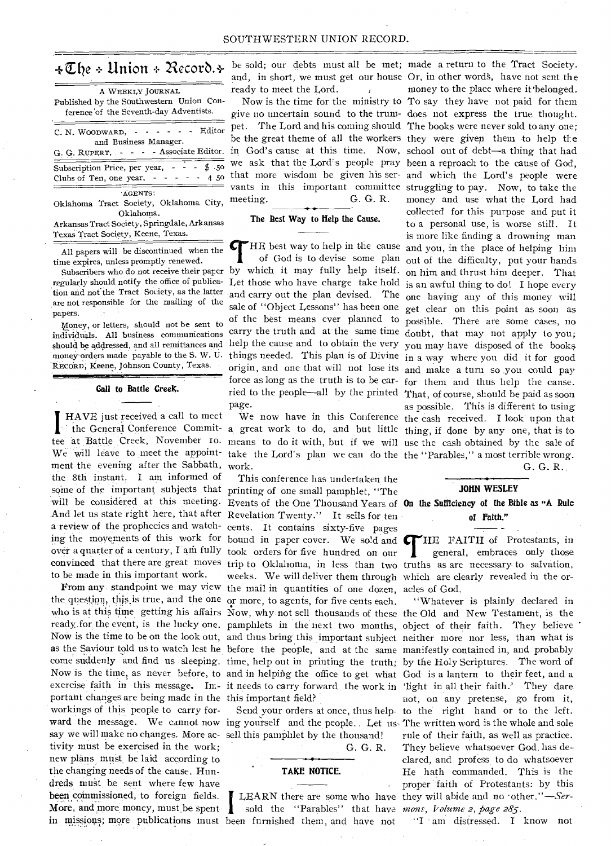## $\texttt{*The} \texttt{+} \texttt{Union} \texttt{+} \texttt{Recor} \texttt{o} \texttt{.} \texttt{+}$

| A WEEKLY JOURNAL<br>Published by the Southwestern Union Con-<br>ference of the Seventh-day Adventists.                      |
|-----------------------------------------------------------------------------------------------------------------------------|
| $\sim$ $\sim$ $\sim$ $\sim$ Editor<br>C. N. WOODWARD, -<br>and Business Manager.<br>G. G. RUPERT, - - - - Associate Editor. |
| Subscription Price, per year, - - - \$.50<br>Clubs of Ten, one year, $- - - - 45$                                           |
| AGENTS:<br>Oklahoma Tract Society, Oklahoma City,                                                                           |

Oklahoma. Arkansas Tract Society, Springdale, Arkansas Texas Tract Society, Keene, Texas.

All papers will be discontinued when the time expires, unless promptly renewed.

regularly should notify the office of publication and not the Tract Society, as the latter are not responsible for the mailing of the papers.

Money, or letters, should not be sent to individuals. All business communications should be addressed, and all remittances and money-orders made payable to the S. W. U. RECORD; Keene, Johnson County, Texas.

#### **Call to Battle CreeK.**

HAVE just received a call to meet tee at Battle Creek, November io. means to do it with, but if we will use the cash obtained by the sale of We will leave to meet the appoint take the Lord's plan we can do the the "Parables," a most terrible wrong. ment the evening after the Sabbath, the 8th instant. I am informed of And let us state right here, that after Revelation Twenty." **It** sells for ten ing the movements of this work for bound in paper cover. We sold and over a quarter of a century, I am fully took orders for five hundred on our to be made in this important work.

portant changes are being made in the this important field? workings of this people to carry forsay we will make no changes. More ac-sell this pamphlet by the thousand! tivity must be exercised in the work; new plans must, be laid according to the changing needs of the cause. Hundreds must be sent where few have been commissioned, to foreign fields. More, and more money, must, be spent **I**

be sold; our debts must all be met; made a return to the Tract Society. ready to meet the Lord.

meeting. G. G. R.  $\ddot{\phantom{0}}$ 

## **The Best Way to Help the Cause.**

origin, and one that will not lose its and make a turn so you could pay force as long as the truth is to be car-for them and thus help the cause. ried to the people—all by the printed That, of course, should be paid as soon page.

work.

some of the important subjects that printing of one small pamphlet, "The will be considered at this meeting. Events of the One Thousand Years of On the Sufficiency of the Bible as "A Rule a review of the prophecies and watch-cents. It contains sixty-five pages ing the movements of this work for bound in paper cover. We sold and **THE FAITH** of Protestants, in over a quarter of a century, I am fully took orders for five hundred on our convinced that there are great moves trip to O From any standpoint we may view the mail in quantities of one dozen, acles of God. the question, this,is true, and the one or more, to agents, for five cents each. as the Saviour told us to watch lest he before the people, and at the same manifestly contained in, and probably come suddenly and find us sleeping. time, help out in printing the truth; by the Holy Scriptures. The word of Now is the time, as never before, to and in helpihg the office to get what God is a lantern to their feet, and a This conference has undertaken the weeks. We will deliver them through which are clearly revealed in the or-

G. G. R.

#### **TAKE NOTICE.**

in missions; more publications must been fnrnished them, and have not sold the "Parables" that have *mons, volume* 2, *page 285.* 

All papers will be discontinued when the **T**here is best way to help in the cause and you, in the place of helping him me expires, unless promptly renewed.<br>
Subscribers who do not receive their paper by which it may fully the General Conference Commit- a great work to do, and but little thing, if done by any one, that is to Now is the time for the ministry to To say they have not paid for them give no uncertain sound to the trum-does not express the true thought. pet. The Lord and his coming should The books were never sold to any one; be the great theme of all the workers they were given them to help the in God's cause at this time. Now, school out of debt—a thing that had we ask that the Lord's people pray been a reproach to the cause of God, that more wisdom be given his ser-and which the Lord's people were vants in this important committee struggling to pay. Now, to take the HE best way to help in the cause and you, in the place of helping him of God is to devise some plan out of the difficulty, put your hands Let those who have charge take hold is an awful thing to do! **I** hope every and carry out the plan devised. The one having any of this money will sale of "Object Lessons" has been one get clear on this point as soon as of the best means ever planned to possible. There are some cases, no carry the truth and at the same time doubt, that may not apply to you; help the cause and to obtain the very you may have disposed of the books things needed. This plan is of Divine in a way where you did it for good We now have in this Conference the cash received. I look upon that and, in short, we must get our house Or, in other words, have not sent the money to the place where it'belonged. money and use what the Lord had collected for this purpose and put it to a personal use, is worse still. It is more like finding a drowning man as possible. This is different to using G. G. R.

#### **JOHN WESLEY**

**of Faith."** 

HE FAITH of Protestants, in general, embraces only those

who is at this time getting his affairs Now, why not sell thousands of these the Old and New Testament, is the ready,.for, the event, is the lucky one. pamphlets in the next two months, object of their faith. They believe Now is the time to be on the look out, and thus bring this important subject neither more nor less, than what is exercise faith in this message. In:- it needs to carry forward the work in 'light in all their faith.' They dare ward the message. We cannot now ing yourself and the people. Let us. The written word is the whole and sole Send your orders at once, thus help- to the right hand or to the left. LEARN there are some who have they will abide and no 'other."-Ser-"Whatever is plainly declared in not, on any pretense, go from it, rule of their faith, as well as practice. They believe whatsoever God, has declared, and profess to do whatsoever He bath commanded. This is the proper faith of Protestants: by this

*''I '* am distressed. I know not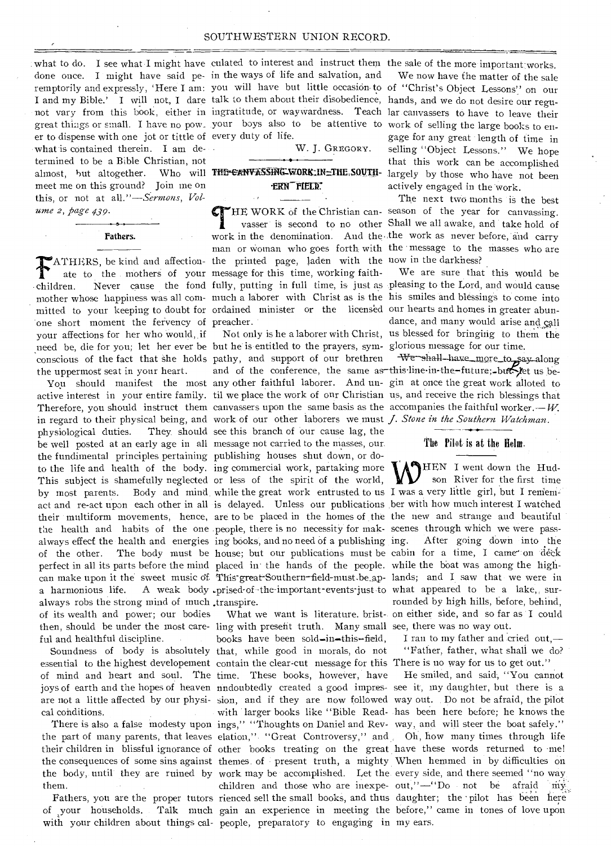#### SOUTHWESTERN UNION RECORD.

what to do. I see what I might have culated to interest and instruct them the sale of the more important works. done once. I might have said pe-in the ways of life and salvation, and remptorily and expressly, 'Here I am: you will have but little occasion to of "Christ's Object Lessons" on our I and my Bible.' I will not, I dare talk to them about their disobedience, hands, and we do not desire our regunot vary from this book, either in ingratitude, or waywardness. Teach lar canvassers to have to leave their great things or small. I have no pow your boys also to be attentive to work of selling the large books to ener to dispense with one jot or tittle of every duty of life. what is contained therein. I am determined to be a Bible Christian, not almost, but altogether. meet me on this ground? Join me on this, or not at *all."—Sermons, Volume 2, page 439.* 

## Fathers.

the divident definition one short moment the fervency of preacher. your affections for her who would, if conscious of the fact that she holds pathy, and support of our brethren the uppermost seat in your heart.

in regard to their physical being, and work of our other laborers we must *J. Stone in the Southern Watchman.* physiological duties. be well posted at an early age in all message not carried to the masses, our. the fundimental principles pertaining publishing houses shut down, or doto the life and health of the body. ing commercial work, partaking more This subject is shamefully neglected or less of the spirit of the world, by most parents. Body and mind while the great work entrusted to us I was a very little girl, but I rememthe health and habits of the one people, there is no necessity for mak- scenes through which we were passalways effect the health and energies ing books, and no need of a publishing perfect in all its parts before the mind placed in the hands of the people. while the boat was among the higha harmonious life. A weak body prised-of-the-important-events-just to what appeared to be a lake, suralways robs the strong mind of much transpire.

of mind and heart and soul. The time. These books, however, have

with your children about things cal- people, preparatory to engaging in my ears.

W. J. GREGORY.

## **ERN FIELD**.

ATHERS, be kind and affection- the printed page, laden with the now in the darkness? ate to the mothers of your message for this time, working faith--children. Never cause the fond fully, putting in full time, is just as pleasing to the Lord, and would cause mother whose happiness was all com-much a laborer with Christ as is the his smiles and blessings to come into mitted to your keeping to doubt for ordained minister or the licensed our hearts and homes in greater abun-THE WORK of the Christian can-season of the year for canvassing.<br>
vasser is second to no other Shall we all awake, and take hold of work in the denomination. And the the work as never before, and carry man or woman who goes forth with the message to the masses who are

need be, die for you; let her ever be but he is entitled to the prayers, sym-glorious message for our time. They, should see this branch of our cause lag, the

then, should be under the most care- ling with present truth. Many small see, there was no way out. essential to the highest developement contain the clear-cut message for this There is no way for us to get out." ful and healthful discipline. books have been sold-in-this-field, Soundness of body is absolutely that, while good in morals, do not

THE CANVASSING WORK IN THE SOUTH- largely by those who have not been We now have fhe matter of the sale gage for any great length of time in selling "Object Lessons." We hope that this work can be accomplished actively engaged in the work.

vasser is second to no other Shall we all awake, and take hold of The next two months is the best

Not only is he a laborer with Christ, us blessed for bringing to them the We are sure that this would be dance, and many would arise and call

You should manifest the most any other faithful laborer. And un- gin at once the great work alloted to active interest in your entire family. til we place the work of our Christian us, and receive the rich blessings that Therefore, you should instruct them canvassers upon the same basis as the accompanies the faithful worker. $-W$ . and of the conference, the same as this line in the future; but let us be-We-shall-have\_more\_to\_say-along

#### The Pilot is at the Helm.

act and re-act upon each other in all is delayed. Unless our publications ber with how much interest I watched their multiform movements, hence, are to be placed in the homes of the the new and strange and beautiful of the other. The body must be house; but our publications must be cabin for a time, I came on deck can make upon it the sweet music of This great-Southern-field-must be ap- lands; and I saw that we were in HEN I went down the Hudson River for the first time After going down into the rounded by high hills, before, behind, of its wealth and power; our bodies What we want is literature. brist- on either side, and so far as I could

> I ran to my father and cried out,— "Father, father, what shalt we do?

He smiled, and said, "You cannot joys of earth and the hopes of heaven nndoubtedly created a good impres- see it, my daughter, but there is a are not a little affected by our physi-sion, and if they are now followed way out. Do not be afraid, the pilot cal conditions. The before; he knows the with larger books like "Bible Read- has been here before; he knows the There is also a false modesty upon ings," "Thoughts on Daniel and Rev- way, and will steer the boat safely." the part of many parents, that leaves elation," "Great Controversy," and Oh, how many times through life their children in blissful ignorance of other books treating on the great have these words returned to me! the consequences of some sins against themes. of present truth, a mighty When hemmed in by difficulties on the body, until they are ruined by work may be accomplished. Let the every side, and there seemed "no way my. them. children and those who are inexpe- out," $-$ "Do not be afraid  $m y$ . Fathers, you are the proper tutors rienced sell the small books, and thus daughter; the pilot has been here of your households. Talk much gain an experience in meeting the before," came in tones of love upon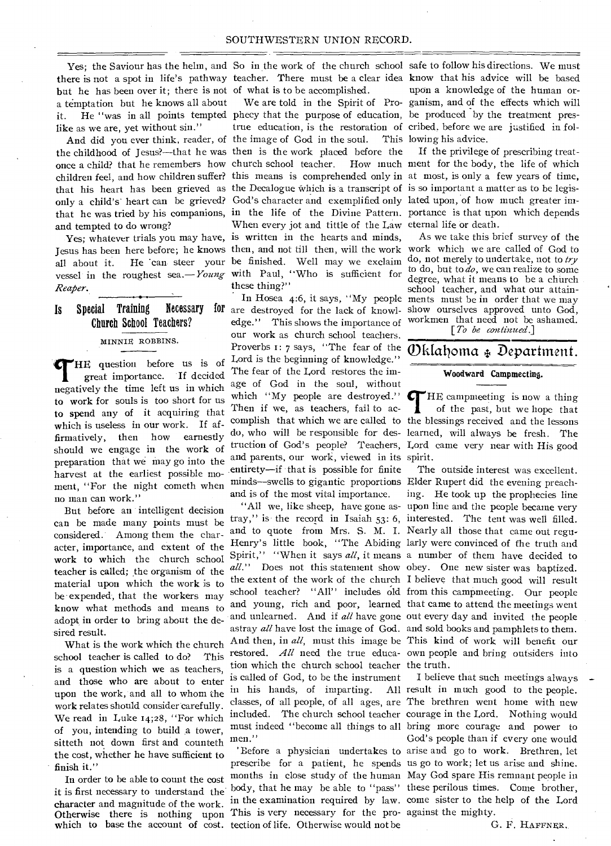but he has been over it; there is not of what is to be accomplished. a temptation but he knows all about like as we are, yet without sin."

and tempted to do wrong?

*Reaper.* 

# Church School Teachers?

#### MINNIE ROBBINS.

THE question before us is of great importance. If decided negatively the time left us in which HE question before us is of great importance. If decided to work for souls is too short for us to spend any of it acquiring that which is useless in our work. If affirmatively, then how earnestly should we engage in the work of preparation that we may go into the harvest at the earliest possible moment, "For the night cometh when no man can work."

But before an intelligent decision can be made many points must be considered. Among them the character, importance, and extent of the work to which the church school teacher is called; the organism of the material upon which the work is to be expended, that the workers may know what methods and means to adopt in order to bring about the desired result.

What is the work which the church school teacher is called to do? This is a question which we as teachers, and those who are about to enter upon the work, and all to whom the work relates should consider carefully. We read in Luke 14;28, "For which of you, intending to build a tower, sitteth not down first and counteth the cost, whether he have sufficient to finish it."

In order to be able to count the cost it is first necessary to understand the character and magnitude of the work. which **to** base the account of cost. tection of life. Otherwise would not be

Yes; the Saviour has the helm, and So in the work of the church school safe to follow his directions. We must

And did you ever think, reader, of the image of God in the soul. This the childhood of Jesus?—that he was then is the work placed before the once a child? that he remembers how church school teacher. How much Yes; whatever trials you may have, is written in the hearts and minds, vessel in the roughest *sea.—Young*  with Paul, "Who is sufficient for When every jot and tittle of the Law eternal life or death. these thing?"

Is Special Training Necessary for are destroyed for the lack of knowledge." This shows the importance of our work as church school teachers. Proverbs t: 7 says, "The fear of the Lord is the beginning of knowledge." The fear of the Lord restores the image of God in the soul, without which "My people are destroyed." Then if we, as teachers, fail to acand parents, our work, viewed in its spirit. entirety—if that is possible for finite minds--swells to gigantic proportions Elder Rupert did the evening preachand is of the most vital importance.

> tion which the church school teacher the truth. is called of God, to be the instrument men."

Otherwise there is nothing upon This is very necessary for the pro-against the mighty.

there is not a spot in life's pathway teacher. There must be a clear idea know that his advice will be based it. He "was in all points tempted phecy that the purpose of education, be produced by the treatment pres-We are told in the Spirit of Pro-ganism, and of the effects which will true education, is the restoration of cribed, before we are justified in folupon a knowledge of the human or-This lowing his advice.

children feel, and how children suffer? this means is comprehended only in at most, is only a few years of time, that his heart has been grieved as the Decalogue which is a transcript of is so important a matter as to be legisonly a child's' heart can be grieved? God's character and exemplified only lated upon, of how much greater imthat he was tried by his companions, in the life of the Divine Pattern. portance is that upon which depends If the privilege of prescribing treat-How much ment for the body, the life of which

Jesus has been here before; he knows then, and not till then, will the work work which we are called of God to all about it. He can steer your be finished. Well may we exclaim do, not merely to undertake, not to *try* all about it. In Hosea 4:6, it says, "My people ments must be in order that we may As we take this brief survey of the to do, but to *do,* we can realize to some degree, what it means to be a church school teacher, and what our attainshow ourselves approved unto God, workmen that need not be ashamed. *[To be continued.]* 

## Oktatloma 4, Department.

#### **Woodward Campmeeting.**

complish that which we are called to the blessings received and the lessons do, who will be responsible for des-learned, will always be fresh. The truction of God's people? Teachers, Lord came very near with His good  $\bullet$  HE campmeeting is now a thing of the past, but we hope that

"All we, like sheep, have gone as- upon line and the people became very tray," is the record in Isaiah 53: 6, interested. The tent was well filled. and to quote from Mrs. S. M. I. Nearly all those that came out regu-Henry's little book, "The Abiding larly were convinced of fhe truth and Spirit," "When it says all, it means a number of them have decided to all." Does not this statement show obey. One new sister was baptized. the extent of the work of the church I believe that much good will result school teacher? "All" includes old from this campmeeting. Our people and young, rich and poor, learned that came to attend the meetings went and unlearned. And if *all* have gone out every day and invited the people astray all have lost the image of God. and sold books and pamphlets to them. And then, in *all,* must this image be This kind of work will benefit our restored. *All* need the true educa-own people and bring outsiders into The outside interest was excellent. ing. He took up the prophecies line

in his hands, of imparting. All result in much good to the people. classes, of all people, of all ages, are The brethren went home with new included. The church school teacher courage in the Lord. Nothing would must indeed "become all things to all bring more courage and power to `Before a physician undertakes to arise and go to work. Brethren, let prescribe for a patient, he spends us go to work; let us arise and shine. months in close study of the human May God spare His remnant people in body, that he may be able to "pass" these perilous times. Come brother, in the examination required by law. come sister to the help of the Lord I believe that such meetings always God's people than if every one would

G. F. HAFFNER.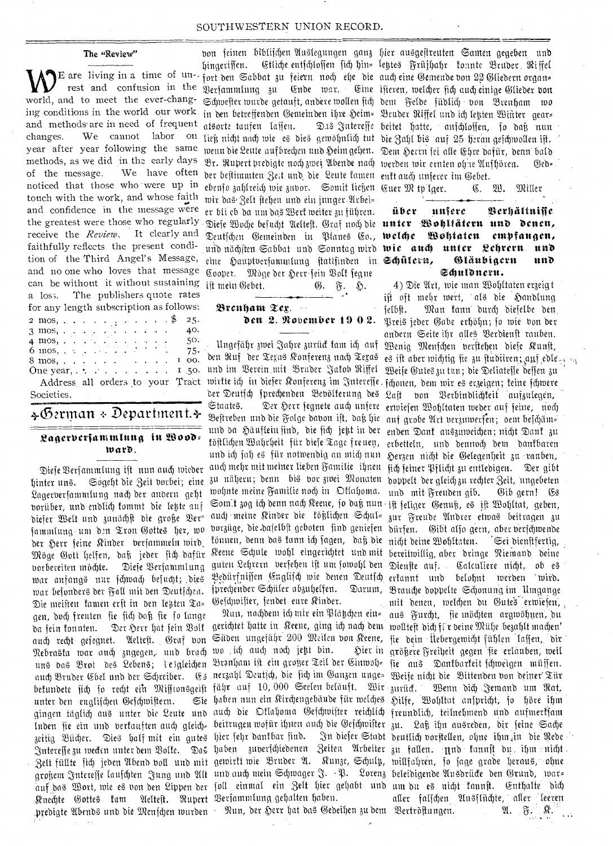#### SOUTHWESTERN UNION RECORD.

#### The "Review"

Eare living in a time of un-. rest and confusion in the world, and to meet the ever-changing conditions in the world our work and methods are in need of frequent We cannot labor on changes. year after year following the same methods, as we did in the early days We have often of the message. noticed that those who were up in touch with the work, and whose faith and confidence in the message were the greatest were those who regularly receive the Review. It clearly and faithfully reflects the present condition of the Third Angel's Message, and no one who loves that message can be without it without sustaining The publishers quote rates a loss. for any length subscription as follows:  $2 \text{ m}$ os, . . . . . . . . . . \$ 25.  $3 \text{ mos}, \ldots, \ldots, \ldots, \ldots$ 40. 4 mos, . 50.  $\mathcal{L}^{\text{max}}$  , where  $\mathcal{L}^{\text{max}}$  $6$  mos, .  $\mathcal{N}$  , and  $\mathcal{N}$  , and  $\mathcal{N}$ 75.  $I_1$  00.  $8 \text{ mos}, \ldots$  $1.50.$ One year,  $\ldots$   $\ldots$   $\ldots$ Address all orders to your Tract Societies.

## $\ast$ German  $\ast$  Department. $\ast$

#### Lagerversammlung in Wood: ward.

Diese Bersammlung ist nun auch wieder Sogeht die Zeit vorbei; eine hinter uns. Lagerversammlung nach der andern geht vorüber, und endlich kommt die letzte auf dieser Welt und zunächst die große Ber= fammlung um den Tron Gottes her, wo der Herr seine Kinder versammeln wird Möge Gott helfen, daß jeder sich dafür vorbereiten möchte. Diese Berfammlung war anfangs nur schwach besucht; dies war befonders der Fall mit den Deutschen. Die meisten kamen erst in den lezten Ta= gen, doch freuten fie fich daß fie fo lange Der Herr hat sein Bolt da fein fonnten. auch recht gesegnet. Aeltest. Graf von Nebrasta war anch zugegen, und brach uns das Brot des Lebens; desgleichen unter den englischen Geschwistern. Knechte Gottes kam Qelteft. Rupert Berfammlung gehalten haben. predigte Abends und die Menschen wurden – Nun, der Herr hat das Gedeihen zu dem Vertröftungen.

hinaeriffen. atsorte taufen lassen. Br. Rupert predigte noch zwei Abende nach werden wir ernten ohne Aufhören. der bestimmten Zeit und die Leute kamen entt auch unserer im Gebet. ebenso zahlreich wie zuvor. Somit ließen Euer Mtplger. wir das Zelt stehen und ein junger Arbei= er bli eb da um das Werk weiter zu führen. eine Hauptversammlung statifinden in Schüler#, Cooper. Möge der Herr fein Bolk segne ist mein Gebet. G. F. H.

## Brenham Tex. – den 2. November 1902.

Ungefähr zwei Jahre zurück fam ich auf den Ruf der Tegas Konferenz nach Teras und im Berein mit Bruder Jakob Riffel Weise Gutes zu tun; die Deliatesse dessen zu wirkte ich in dieser Konferenz im Interesse. fchonen, dem wir es erzeigen; keine schwere der Deutsch sprechenden Bevölkerung des Last von Verbindlichkeit aufzulegen, Staates. Bestreben und die Folge davon ist, daß hie auf grobe Art verzuwerfen; dem beschäm= und da Häuflein sind, die sich jetzt in der enden Dank auszuweichen; nicht Dank zu töstlichen Wahrheit für diese Tage freuen, erbetteln, und dennoch dem dankbaren und ich fah es für notwendig an mich nun Herzen nicht die Gelegenheit zu rauben, auch mehr mit meiner lieben Familie ihnen sich feiner Pflicht zu entledigen. Der gibt zu nähern; denn bis vor zwei Monaten doppelt der gleichzu rechter Zeit, ungebeten wohnte meine Familie noch in Otlahoma. und mit Freuden gib. Som.t zog ich denn nach Keene, so daß nun ist feliger Genuß, es ist Wohltat, geben, auch meine Kinder die kößlichen Schul= zur Freude Andrer etwas beitragen zu vorzüge, die daselbst geboten sind geniesen dürfen. Gibt also gern, aber verschwende können, denn das kann ich sagen, daß die nicht deine Wohltaten. Gei dienstfertig, Reene Schule wohl eingerichtet und mit bereitwillig, aber dringe Niemand deine guien Lehrern versehen ist um sowohl den Dienste auf. Valculiere nicht, ob es Bedürfnissen Englisch wie denen Deutsch erkannt und belohnt werden wird. fprechender Schüler abzuhelfen. Darum, Brauche doppelte Schonung im Umgange Geschwister, fendet eure Kinder.

wo . ich auch noch jetzt bin.

von feinen biblijchen Auslegungen ganz hier ausgestreuten Samen gegeben und Etliche entschlossen sich hin= letztes Früghahr konnte Bruder, Riffel fort den Sabbat zu feiern noch ehe die aucheine Gemende von 22 Gliedern organ-Bersammlung zu Ende war. Eine isieren, welcher sich auch einige Glieder von Schwester wurde getauft, andere wollen sich dem Felde südlich von Brenham wo in den betreffenden Gemeinden ihre Heim= Bruder Riffel und ich letzten Winter gear= D13 Interesse beitet hatte, auschlossen, so daß nun ließ nicht nach wie es dies gewöhnlich tut die Zahl bis auf 25 heran geschwollen ist. wenn die Leute aufbrechen und Heimgehen. Dem Herrn sei alle Ehre dafür, denn bald  $(9e)$ =

> Miller C. W.

#### Verhältnisse über unfere Diese Woche besucht Aeltest. Graf noch die unter Wohltätern und denen, Deutschen Gemeinden in Planes Eo., welche Wohtaten empfangen, und nächsten Sabbat und Sonntag wird wie auch unter Lehrern und Gläubigern und Schuldneru.

4) Die Art, wie man Wohltaten erzeig t ist oft mehr wert, als die Handlung Man kann durch dieselbe den jelbst. Preis jeder Gabe erhöhn; so wie von der andern Seite ihr alles Berdienst rauben. Wenig Menschen verstehen diese Kunst. es ist aber wichtig sie zu studiiren; auf edle 31 de Der Herr segnete auch unsere erwiesen Wohltaten weder auf seine, noch Gib gern! Es mit denen, welchen du Gutes erwiesen, Nun, nachdem ich mir ein Pläychen ein= aus Furcht, fie möchten argwöhnen, du gerichtet hatte in Keene, ging ich nach dem wollteft dich fi'r deine Mühe bezahlt machen' Süden ungefähr 200 Meilen von Keene, fie dein Üebergewicht fühlen lassen, dir Hier in größere Freiheit gegen fie erlauben, weil Bronham ist ein großer Teil der Einwoh= sie aus Dankbarkeit schweigen müssen. auch Bruder Chel und der Schreiber. Es nerzahl Deutsch, die sich im Ganzen unge= Weise nicht die Bittenden von deiner Tür bekundete sich so recht ein Missionsgeist fähr auf 10,000 Seelen beläuft. Wir zurück. Wenn dich Jemand um Rat, Sie haben nun ein Kirchengebäude für welches Hilfe, Wohltat anspricht, fo höre ihm gingen täglich aus unter die Leute und auch die Oflahoma Geschwister reichlich freundlich, teilnehmend und aufmertsam luden fie ein und verkauften auch gleich= beitrugen wofür ihnen auch die Geschwifter zu. Laß ihn ausreden, dir seine Sache zeitig Bücher. Dies half mit ein gutes hier fehr dantbar find. In diefer Stadt deutlich vorftellen, ohne ihm in die Nede Intereffe zu wecken unter dem Bolke. Das haben zuverschiedenen Zeiten Arbeiter zu fallen. And kannft du ihm nicht Zelt füllte sich jeden Abend voll und mit gewirkt wie Bruder A. Kunze, Schultz, willfahren, so sage grade heraus, ohne großem Interesse lauschten Jung und Alt und auch mein Schwager J. · P. Lorenz beleidigende Ausdrücke den Grund, war= auf das Wort, wie es von den Lippen der soll einmal ein Zelt hier gehabt und um du es nicht kannst. Enthalte dich aller falschen Ansflüchte, aller leeren શ. F. R.